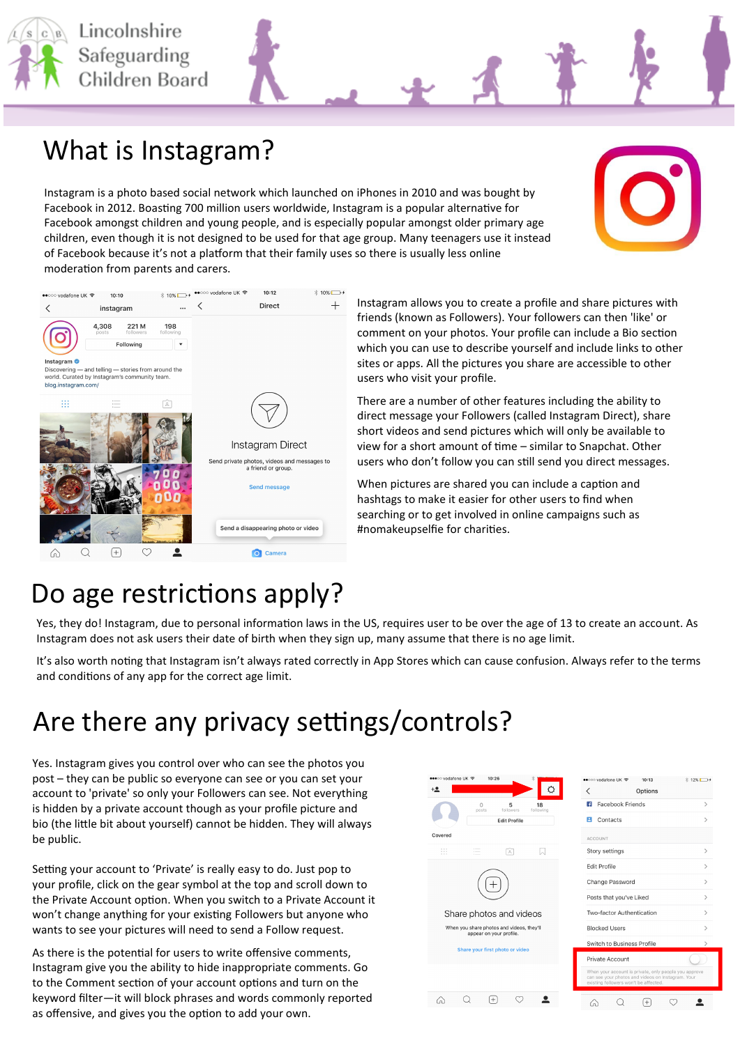

#### What is Instagram?

Instagram is a photo based social network which launched on iPhones in 2010 and was bought by Facebook in 2012. Boasting 700 million users worldwide, Instagram is a popular alternative for Facebook amongst children and young people, and is especially popular amongst older primary age children, even though it is not designed to be used for that age group. Many teenagers use it instead of Facebook because it's not a platform that their family uses so there is usually less online moderation from parents and carers.



Instagram allows you to create a profile and share pictures with friends (known as Followers). Your followers can then 'like' or comment on your photos. Your profile can include a Bio section which you can use to describe yourself and include links to other sites or apps. All the pictures you share are accessible to other users who visit your profile.

There are a number of other features including the ability to direct message your Followers (called Instagram Direct), share short videos and send pictures which will only be available to view for a short amount of time – similar to Snapchat. Other users who don't follow you can still send you direct messages.

When pictures are shared you can include a caption and hashtags to make it easier for other users to find when searching or to get involved in online campaigns such as #nomakeupselfie for charities.

#### Do age restrictions apply?

Yes, they do! Instagram, due to personal information laws in the US, requires user to be over the age of 13 to create an account. As Instagram does not ask users their date of birth when they sign up, many assume that there is no age limit.

It's also worth noting that Instagram isn't always rated correctly in App Stores which can cause confusion. Always refer to the terms and conditions of any app for the correct age limit.

#### Are there any privacy settings/controls?

Yes. Instagram gives you control over who can see the photos you post – they can be public so everyone can see or you can set your account to 'private' so only your Followers can see. Not everything is hidden by a private account though as your profile picture and bio (the little bit about yourself) cannot be hidden. They will always be public.

Setting your account to 'Private' is really easy to do. Just pop to your profile, click on the gear symbol at the top and scroll down to the Private Account option. When you switch to a Private Account it won't change anything for your existing Followers but anyone who wants to see your pictures will need to send a Follow request.

As there is the potential for users to write offensive comments, Instagram give you the ability to hide inappropriate comments. Go to the Comment section of your account options and turn on the keyword filter—it will block phrases and words commonly reported as offensive, and gives you the option to add your own.



 $\hat{\mathbf{z}}$